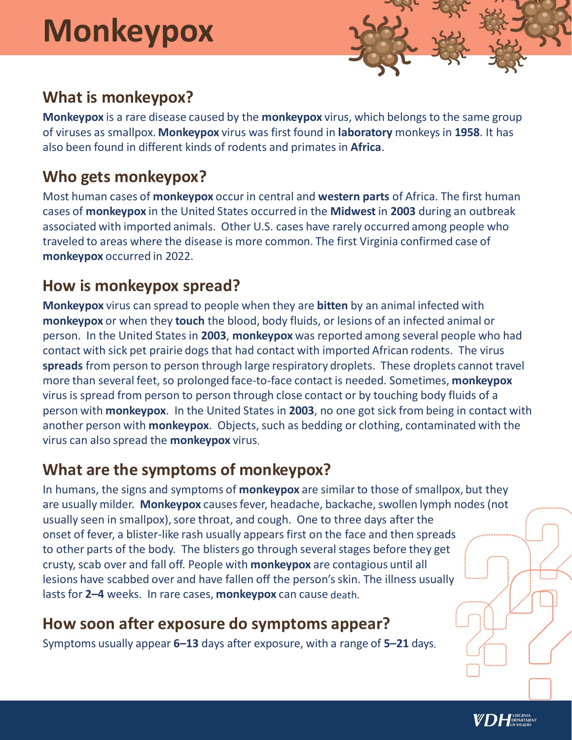# **Monkeypox**



# **What is monkeypox?**

**Monkeypox** is a rare disease caused by the **monkeypox** virus, which belongs to the same group of viruses as smallpox. **Monkeypox** virus was first found in **laboratory** monkeys in **1958**. It has also been found in different kinds of rodents and primates in **Africa**.

## **Who gets monkeypox?**

Most human cases of **monkeypox** occur in central and **western parts** of Africa. The first human cases of **monkeypox** in the United States occurred in the **Midwest** in **2003** during an outbreak associated with imported animals. Other U.S. cases have rarely occurred among people who traveled to areas where the disease is more common. The first Virginia confirmed case of **monkeypox** occurred in 2022.

## **How is monkeypox spread?**

**Monkeypox** virus can spread to people when they are **bitten** by an animal infected with **monkeypox** or when they **touch** the blood, body fluids, or lesions of an infected animal or person. In the United States in **2003**, **monkeypox** was reported among several people who had contact with sick pet prairie dogs that had contact with imported African rodents. The virus **spreads** from person to person through large respiratory droplets. These droplets cannot travel more than several feet, so prolonged face-to-face contact is needed. Sometimes, **monkeypox** virus is spread from person to person through close contact or by touching body fluids of a person with **monkeypox**. In the United States in **2003**, no one got sick from being in contact with another person with **monkeypox**. Objects, such as bedding or clothing, contaminated with the virus can also spread the **monkeypox** virus.

## **What are the symptoms of monkeypox?**

In humans, the signs and symptoms of **monkeypox** are similar to those of smallpox, but they are usually milder. **Monkeypox** causes fever, headache, backache, swollen lymph nodes (not usually seen in smallpox), sore throat, and cough. One to three days after the onset of fever, a blister-like rash usually appears first on the face and then spreads to other parts of the body. The blisters go through several stages before they get crusty, scab over and fall off. People with **monkeypox** are contagious until all lesions have scabbed over and have fallen off the person's skin. The illness usually lasts for **2–4** weeks. In rare cases, **monkeypox** can cause death.

#### **How soon after exposure do symptoms appear?**

Symptoms usually appear **6–13** days after exposure, with a range of **5–21** days.